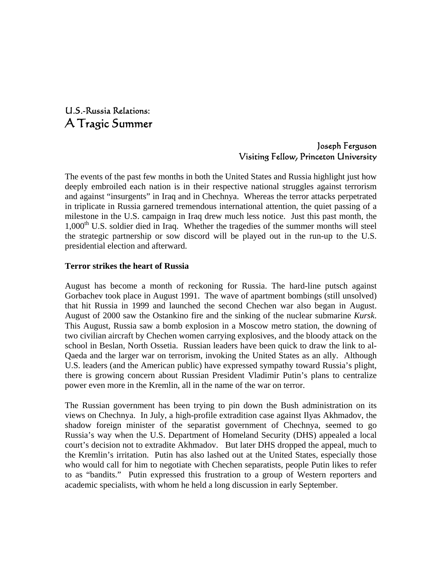# U.S.-Russia Relations: A Tragic Summer

# Joseph Ferguson Visiting Fellow, Princeton University

The events of the past few months in both the United States and Russia highlight just how deeply embroiled each nation is in their respective national struggles against terrorism and against "insurgents" in Iraq and in Chechnya. Whereas the terror attacks perpetrated in triplicate in Russia garnered tremendous international attention, the quiet passing of a milestone in the U.S. campaign in Iraq drew much less notice. Just this past month, the  $1,000<sup>th</sup>$  U.S. soldier died in Iraq. Whether the tragedies of the summer months will steel the strategic partnership or sow discord will be played out in the run-up to the U.S. presidential election and afterward.

## **Terror strikes the heart of Russia**

August has become a month of reckoning for Russia. The hard-line putsch against Gorbachev took place in August 1991. The wave of apartment bombings (still unsolved) that hit Russia in 1999 and launched the second Chechen war also began in August. August of 2000 saw the Ostankino fire and the sinking of the nuclear submarine *Kursk*. This August, Russia saw a bomb explosion in a Moscow metro station, the downing of two civilian aircraft by Chechen women carrying explosives, and the bloody attack on the school in Beslan, North Ossetia. Russian leaders have been quick to draw the link to al-Qaeda and the larger war on terrorism, invoking the United States as an ally. Although U.S. leaders (and the American public) have expressed sympathy toward Russia's plight, there is growing concern about Russian President Vladimir Putin's plans to centralize power even more in the Kremlin, all in the name of the war on terror.

The Russian government has been trying to pin down the Bush administration on its views on Chechnya. In July, a high-profile extradition case against Ilyas Akhmadov, the shadow foreign minister of the separatist government of Chechnya, seemed to go Russia's way when the U.S. Department of Homeland Security (DHS) appealed a local court's decision not to extradite Akhmadov. But later DHS dropped the appeal, much to the Kremlin's irritation. Putin has also lashed out at the United States, especially those who would call for him to negotiate with Chechen separatists, people Putin likes to refer to as "bandits." Putin expressed this frustration to a group of Western reporters and academic specialists, with whom he held a long discussion in early September.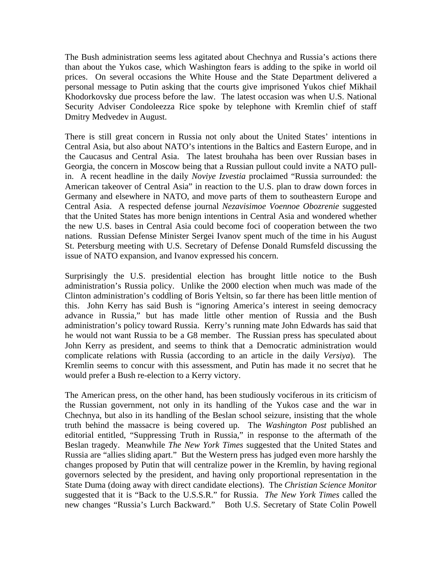The Bush administration seems less agitated about Chechnya and Russia's actions there than about the Yukos case, which Washington fears is adding to the spike in world oil prices. On several occasions the White House and the State Department delivered a personal message to Putin asking that the courts give imprisoned Yukos chief Mikhail Khodorkovsky due process before the law. The latest occasion was when U.S. National Security Adviser Condoleezza Rice spoke by telephone with Kremlin chief of staff Dmitry Medvedev in August.

There is still great concern in Russia not only about the United States' intentions in Central Asia, but also about NATO's intentions in the Baltics and Eastern Europe, and in the Caucasus and Central Asia. The latest brouhaha has been over Russian bases in Georgia, the concern in Moscow being that a Russian pullout could invite a NATO pullin. A recent headline in the daily *Noviye Izvestia* proclaimed "Russia surrounded: the American takeover of Central Asia" in reaction to the U.S. plan to draw down forces in Germany and elsewhere in NATO, and move parts of them to southeastern Europe and Central Asia. A respected defense journal *Nezavisimoe Voennoe Obozrenie* suggested that the United States has more benign intentions in Central Asia and wondered whether the new U.S. bases in Central Asia could become foci of cooperation between the two nations. Russian Defense Minister Sergei Ivanov spent much of the time in his August St. Petersburg meeting with U.S. Secretary of Defense Donald Rumsfeld discussing the issue of NATO expansion, and Ivanov expressed his concern.

Surprisingly the U.S. presidential election has brought little notice to the Bush administration's Russia policy. Unlike the 2000 election when much was made of the Clinton administration's coddling of Boris Yeltsin, so far there has been little mention of this. John Kerry has said Bush is "ignoring America's interest in seeing democracy advance in Russia," but has made little other mention of Russia and the Bush administration's policy toward Russia. Kerry's running mate John Edwards has said that he would not want Russia to be a G8 member. The Russian press has speculated about John Kerry as president, and seems to think that a Democratic administration would complicate relations with Russia (according to an article in the daily *Versiya*). The Kremlin seems to concur with this assessment, and Putin has made it no secret that he would prefer a Bush re-election to a Kerry victory.

The American press, on the other hand, has been studiously vociferous in its criticism of the Russian government, not only in its handling of the Yukos case and the war in Chechnya, but also in its handling of the Beslan school seizure, insisting that the whole truth behind the massacre is being covered up. The *Washington Post* published an editorial entitled, "Suppressing Truth in Russia," in response to the aftermath of the Beslan tragedy. Meanwhile *The New York Times* suggested that the United States and Russia are "allies sliding apart." But the Western press has judged even more harshly the changes proposed by Putin that will centralize power in the Kremlin, by having regional governors selected by the president, and having only proportional representation in the State Duma (doing away with direct candidate elections). The *Christian Science Monitor* suggested that it is "Back to the U.S.S.R." for Russia. *The New York Times* called the new changes "Russia's Lurch Backward." Both U.S. Secretary of State Colin Powell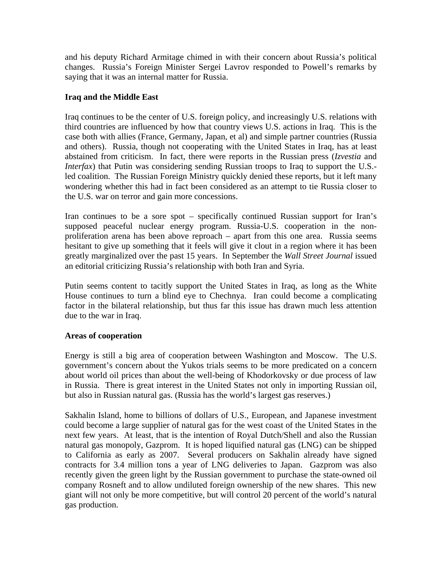and his deputy Richard Armitage chimed in with their concern about Russia's political changes. Russia's Foreign Minister Sergei Lavrov responded to Powell's remarks by saying that it was an internal matter for Russia.

## **Iraq and the Middle East**

Iraq continues to be the center of U.S. foreign policy, and increasingly U.S. relations with third countries are influenced by how that country views U.S. actions in Iraq. This is the case both with allies (France, Germany, Japan, et al) and simple partner countries (Russia and others). Russia, though not cooperating with the United States in Iraq, has at least abstained from criticism. In fact, there were reports in the Russian press (*Izvestia* and *Interfax*) that Putin was considering sending Russian troops to Iraq to support the U.S.led coalition. The Russian Foreign Ministry quickly denied these reports, but it left many wondering whether this had in fact been considered as an attempt to tie Russia closer to the U.S. war on terror and gain more concessions.

Iran continues to be a sore spot – specifically continued Russian support for Iran's supposed peaceful nuclear energy program. Russia-U.S. cooperation in the nonproliferation arena has been above reproach – apart from this one area. Russia seems hesitant to give up something that it feels will give it clout in a region where it has been greatly marginalized over the past 15 years. In September the *Wall Street Journal* issued an editorial criticizing Russia's relationship with both Iran and Syria.

Putin seems content to tacitly support the United States in Iraq, as long as the White House continues to turn a blind eye to Chechnya. Iran could become a complicating factor in the bilateral relationship, but thus far this issue has drawn much less attention due to the war in Iraq.

## **Areas of cooperation**

Energy is still a big area of cooperation between Washington and Moscow. The U.S. government's concern about the Yukos trials seems to be more predicated on a concern about world oil prices than about the well-being of Khodorkovsky or due process of law in Russia. There is great interest in the United States not only in importing Russian oil, but also in Russian natural gas. (Russia has the world's largest gas reserves.)

Sakhalin Island, home to billions of dollars of U.S., European, and Japanese investment could become a large supplier of natural gas for the west coast of the United States in the next few years. At least, that is the intention of Royal Dutch/Shell and also the Russian natural gas monopoly, Gazprom. It is hoped liquified natural gas (LNG) can be shipped to California as early as 2007. Several producers on Sakhalin already have signed contracts for 3.4 million tons a year of LNG deliveries to Japan. Gazprom was also recently given the green light by the Russian government to purchase the state-owned oil company Rosneft and to allow undiluted foreign ownership of the new shares. This new giant will not only be more competitive, but will control 20 percent of the world's natural gas production.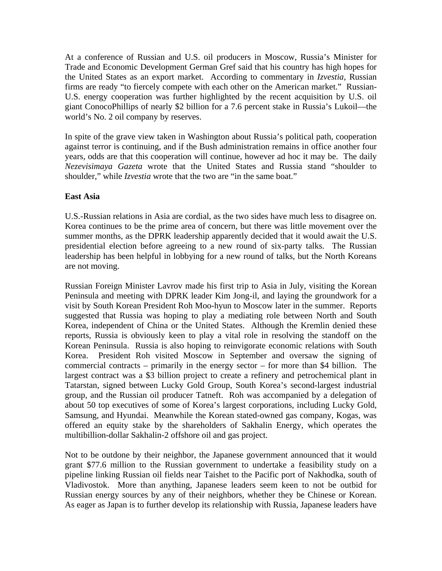At a conference of Russian and U.S. oil producers in Moscow, Russia's Minister for Trade and Economic Development German Gref said that his country has high hopes for the United States as an export market. According to commentary in *Izvestia*, Russian firms are ready "to fiercely compete with each other on the American market." Russian-U.S. energy cooperation was further highlighted by the recent acquisition by U.S. oil giant ConocoPhillips of nearly \$2 billion for a 7.6 percent stake in Russia's Lukoil—the world's No. 2 oil company by reserves.

In spite of the grave view taken in Washington about Russia's political path, cooperation against terror is continuing, and if the Bush administration remains in office another four years, odds are that this cooperation will continue, however ad hoc it may be. The daily *Nezevisimaya Gazeta* wrote that the United States and Russia stand "shoulder to shoulder," while *Izvestia* wrote that the two are "in the same boat."

## **East Asia**

U.S.-Russian relations in Asia are cordial, as the two sides have much less to disagree on. Korea continues to be the prime area of concern, but there was little movement over the summer months, as the DPRK leadership apparently decided that it would await the U.S. presidential election before agreeing to a new round of six-party talks. The Russian leadership has been helpful in lobbying for a new round of talks, but the North Koreans are not moving.

Russian Foreign Minister Lavrov made his first trip to Asia in July, visiting the Korean Peninsula and meeting with DPRK leader Kim Jong-il, and laying the groundwork for a visit by South Korean President Roh Moo-hyun to Moscow later in the summer. Reports suggested that Russia was hoping to play a mediating role between North and South Korea, independent of China or the United States. Although the Kremlin denied these reports, Russia is obviously keen to play a vital role in resolving the standoff on the Korean Peninsula. Russia is also hoping to reinvigorate economic relations with South Korea. President Roh visited Moscow in September and oversaw the signing of commercial contracts – primarily in the energy sector – for more than \$4 billion. The largest contract was a \$3 billion project to create a refinery and petrochemical plant in Tatarstan, signed between Lucky Gold Group, South Korea's second-largest industrial group, and the Russian oil producer Tatneft. Roh was accompanied by a delegation of about 50 top executives of some of Korea's largest corporations, including Lucky Gold, Samsung, and Hyundai. Meanwhile the Korean stated-owned gas company, Kogas, was offered an equity stake by the shareholders of Sakhalin Energy, which operates the multibillion-dollar Sakhalin-2 offshore oil and gas project.

Not to be outdone by their neighbor, the Japanese government announced that it would grant \$77.6 million to the Russian government to undertake a feasibility study on a pipeline linking Russian oil fields near Taishet to the Pacific port of Nakhodka, south of Vladivostok. More than anything, Japanese leaders seem keen to not be outbid for Russian energy sources by any of their neighbors, whether they be Chinese or Korean. As eager as Japan is to further develop its relationship with Russia, Japanese leaders have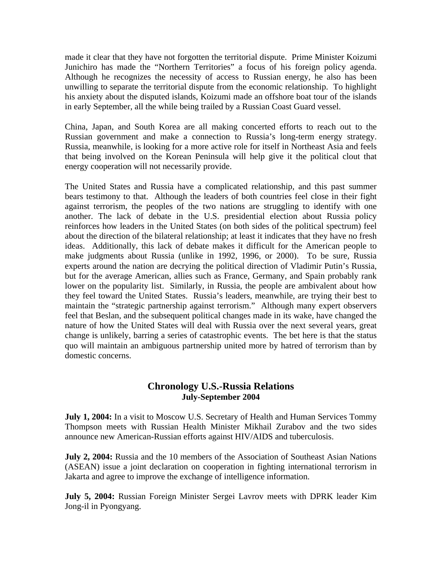made it clear that they have not forgotten the territorial dispute. Prime Minister Koizumi Junichiro has made the "Northern Territories" a focus of his foreign policy agenda. Although he recognizes the necessity of access to Russian energy, he also has been unwilling to separate the territorial dispute from the economic relationship. To highlight his anxiety about the disputed islands, Koizumi made an offshore boat tour of the islands in early September, all the while being trailed by a Russian Coast Guard vessel.

China, Japan, and South Korea are all making concerted efforts to reach out to the Russian government and make a connection to Russia's long-term energy strategy. Russia, meanwhile, is looking for a more active role for itself in Northeast Asia and feels that being involved on the Korean Peninsula will help give it the political clout that energy cooperation will not necessarily provide.

The United States and Russia have a complicated relationship, and this past summer bears testimony to that. Although the leaders of both countries feel close in their fight against terrorism, the peoples of the two nations are struggling to identify with one another. The lack of debate in the U.S. presidential election about Russia policy reinforces how leaders in the United States (on both sides of the political spectrum) feel about the direction of the bilateral relationship; at least it indicates that they have no fresh ideas. Additionally, this lack of debate makes it difficult for the American people to make judgments about Russia (unlike in 1992, 1996, or 2000). To be sure, Russia experts around the nation are decrying the political direction of Vladimir Putin's Russia, but for the average American, allies such as France, Germany, and Spain probably rank lower on the popularity list. Similarly, in Russia, the people are ambivalent about how they feel toward the United States. Russia's leaders, meanwhile, are trying their best to maintain the "strategic partnership against terrorism." Although many expert observers feel that Beslan, and the subsequent political changes made in its wake, have changed the nature of how the United States will deal with Russia over the next several years, great change is unlikely, barring a series of catastrophic events. The bet here is that the status quo will maintain an ambiguous partnership united more by hatred of terrorism than by domestic concerns.

# **Chronology U.S.-Russia Relations July-September 2004**

**July 1, 2004:** In a visit to Moscow U.S. Secretary of Health and Human Services Tommy Thompson meets with Russian Health Minister Mikhail Zurabov and the two sides announce new American-Russian efforts against HIV/AIDS and tuberculosis.

**July 2, 2004:** Russia and the 10 members of the Association of Southeast Asian Nations (ASEAN) issue a joint declaration on cooperation in fighting international terrorism in Jakarta and agree to improve the exchange of intelligence information.

**July 5, 2004:** Russian Foreign Minister Sergei Lavrov meets with DPRK leader Kim Jong-il in Pyongyang.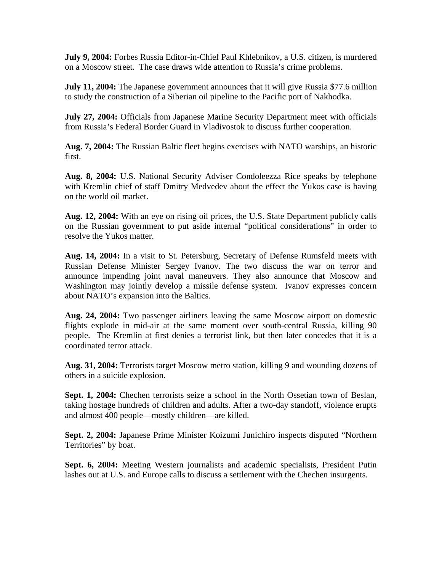**July 9, 2004:** Forbes Russia Editor-in-Chief Paul Khlebnikov, a U.S. citizen, is murdered on a Moscow street. The case draws wide attention to Russia's crime problems.

**July 11, 2004:** The Japanese government announces that it will give Russia \$77.6 million to study the construction of a Siberian oil pipeline to the Pacific port of Nakhodka.

**July 27, 2004:** Officials from Japanese Marine Security Department meet with officials from Russia's Federal Border Guard in Vladivostok to discuss further cooperation.

**Aug. 7, 2004:** The Russian Baltic fleet begins exercises with NATO warships, an historic first.

**Aug. 8, 2004:** U.S. National Security Adviser Condoleezza Rice speaks by telephone with Kremlin chief of staff Dmitry Medvedev about the effect the Yukos case is having on the world oil market.

**Aug. 12, 2004:** With an eye on rising oil prices, the U.S. State Department publicly calls on the Russian government to put aside internal "political considerations" in order to resolve the Yukos matter.

**Aug. 14, 2004:** In a visit to St. Petersburg, Secretary of Defense Rumsfeld meets with Russian Defense Minister Sergey Ivanov. The two discuss the war on terror and announce impending joint naval maneuvers. They also announce that Moscow and Washington may jointly develop a missile defense system. Ivanov expresses concern about NATO's expansion into the Baltics.

**Aug. 24, 2004:** Two passenger airliners leaving the same Moscow airport on domestic flights explode in mid-air at the same moment over south-central Russia, killing 90 people. The Kremlin at first denies a terrorist link, but then later concedes that it is a coordinated terror attack.

**Aug. 31, 2004:** Terrorists target Moscow metro station, killing 9 and wounding dozens of others in a suicide explosion.

**Sept. 1, 2004:** Chechen terrorists seize a school in the North Ossetian town of Beslan, taking hostage hundreds of children and adults. After a two-day standoff, violence erupts and almost 400 people—mostly children—are killed.

**Sept. 2, 2004:** Japanese Prime Minister Koizumi Junichiro inspects disputed "Northern Territories" by boat.

**Sept. 6, 2004:** Meeting Western journalists and academic specialists, President Putin lashes out at U.S. and Europe calls to discuss a settlement with the Chechen insurgents.